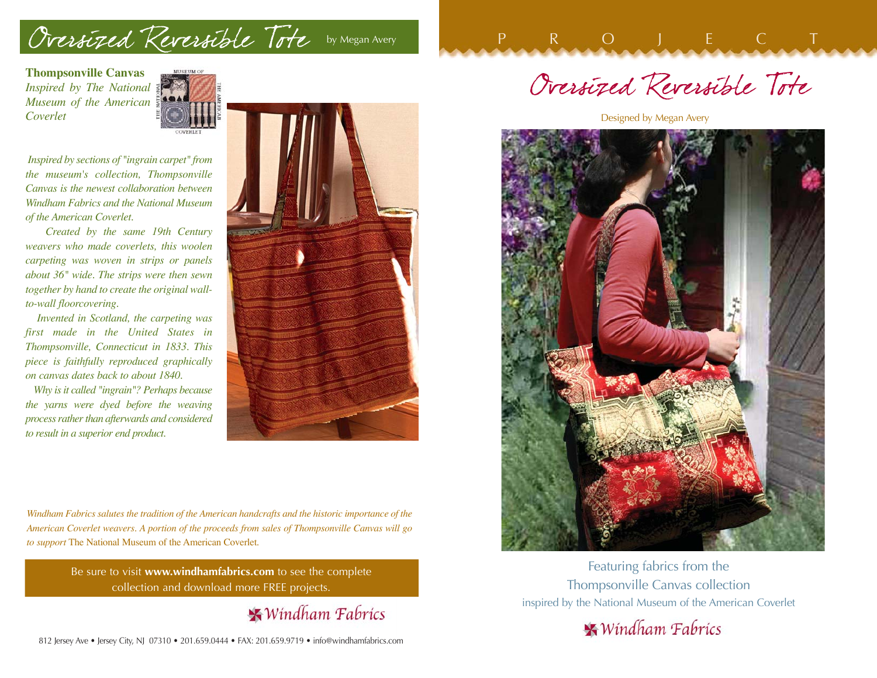## Oversized Reversible Tote by Megan Avery

**Thompsonville Canvas** *Inspired by The National Museum of the American Coverlet*



*Inspired by sections of "ingrain carpet" from the museum's collection, Thompsonville Canvas is the newest collaboration between Windham Fabrics and the National Museum of the American Coverlet.*

*Created by the same 19th Century weavers who made coverlets, this woolen carpeting was woven in strips or panels about 36" wide. The strips were then sewn together by hand to create the original wallto-wall floorcovering.*

*Invented in Scotland, the carpeting was first made in the United States in Thompsonville, Connecticut in 1833. This piece is faithfully reproduced graphically on canvas dates back to about 1840.*

*Why is it called "ingrain"? Perhaps because the yarns were dyed before the weaving process rather than afterwards and considered to result in a superior end product.*



*Windham Fabrics salutes the tradition of the American handcrafts and the historic importance of the American Coverlet weavers. A portion of the proceeds from sales of Thompsonville Canvas will go to support* The National Museum of the American Coverlet*.*

> Be sure to visit **www.windhamfabrics.com** to see the complete collection and download more FREE projects.

> > **\*** Windham Fabrics

Oversized Reversible Tote

P<sub>R</sub>OJECT

Designed by Megan Avery



Featuring fabrics from the Thompsonville Canvas collection inspired by the National Museum of the American Coverlet

 $\blacktriangleright$  Windham Fabrics